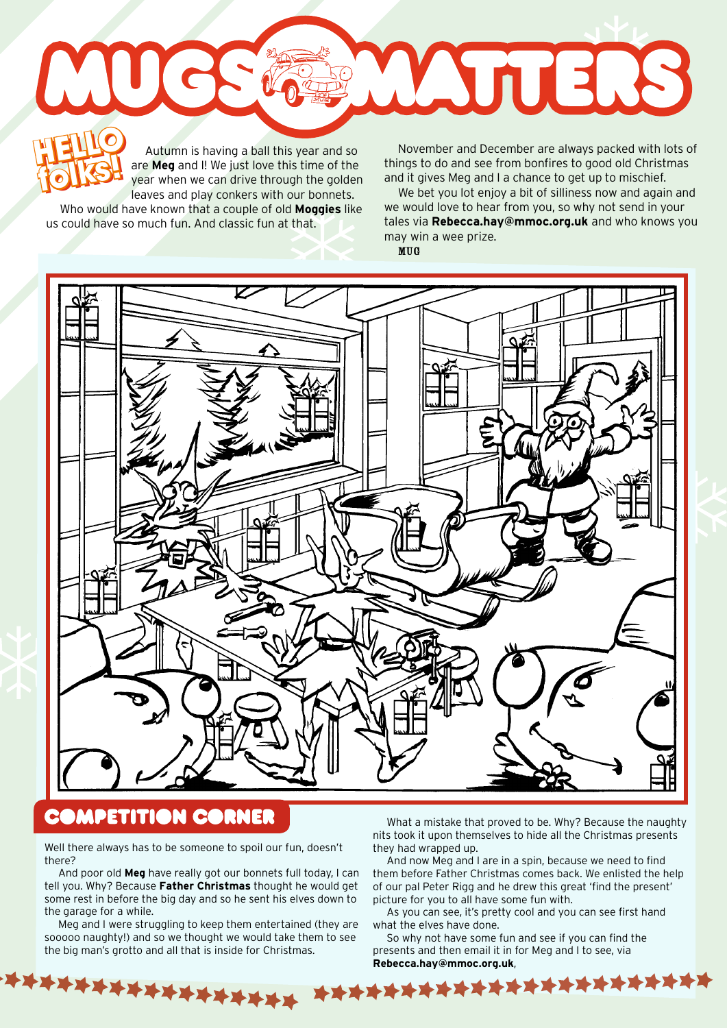Autumn is having a ball this year and so are **Meg** and I! We just love this time of the year when we can drive through the golden leaves and play conkers with our bonnets. **HELLO folks! HELLO** 

Who would have known that a couple of old **Moggies** like us could have so much fun. And classic fun at that.

**folks!** November and December are always packed with lots of things to do and see from bonfires to good old Christmas and it gives Meg and I a chance to get up to mischief.

WUTERS

We bet you lot enjoy a bit of silliness now and again and we would love to hear from you, so why not send in your tales via **Rebecca.hay@mmoc.org.uk** and who knows you may win a wee prize. MUG

## **COMPETITION CORNER**

Well there always has to be someone to spoil our fun, doesn't there?

And poor old **Meg** have really got our bonnets full today, I can tell you. Why? Because **Father Christmas** thought he would get some rest in before the big day and so he sent his elves down to the garage for a while.

Meg and I were struggling to keep them entertained (they are sooooo naughty!) and so we thought we would take them to see the big man's grotto and all that is inside for Christmas.

\*\*\*\*\*\*\*\*\*\*\*\*\*

What a mistake that proved to be. Why? Because the naughty nits took it upon themselves to hide all the Christmas presents they had wrapped up.

And now Meg and I are in a spin, because we need to find them before Father Christmas comes back. We enlisted the help of our pal Peter Rigg and he drew this great 'find the present' picture for you to all have some fun with.

As you can see, it's pretty cool and you can see first hand what the elves have done.

So why not have some fun and see if you can find the presents and then email it in for Meg and I to see, via Rebecca.hay@mmoc.org.uk,<br>本本本本本本本本本本本本本本本本本本本本本本本